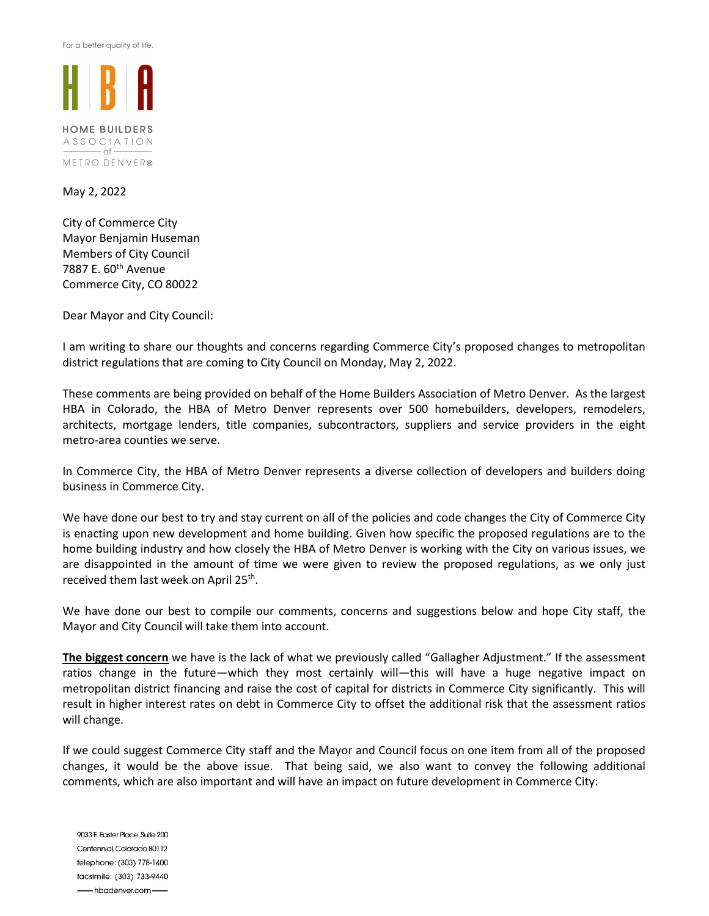For a better quality of life.



**HOME BUILDERS** ASSOCIATION  $\overline{\phantom{0}}$  of  $\overline{\phantom{0}}$ METRO DENVER®

May 2, 2022

City of Commerce City Mayor Benjamin Huseman Members of City Council 7887 E. 60th Avenue Commerce City, CO 80022

Dear Mayor and City Council:

I am writing to share our thoughts and concerns regarding Commerce City's proposed changes to metropolitan district regulations that are coming to City Council on Monday, May 2, 2022.

These comments are being provided on behalf of the Home Builders Association of Metro Denver. As the largest HBA in Colorado, the HBA of Metro Denver represents over 500 homebuilders, developers, remodelers, architects, mortgage lenders, title companies, subcontractors, suppliers and service providers in the eight metro-area counties we serve.

In Commerce City, the HBA of Metro Denver represents a diverse collection of developers and builders doing business in Commerce City.

We have done our best to try and stay current on all of the policies and code changes the City of Commerce City is enacting upon new development and home building. Given how specific the proposed regulations are to the home building industry and how closely the HBA of Metro Denver is working with the City on various issues, we are disappointed in the amount of time we were given to review the proposed regulations, as we only just received them last week on April 25<sup>th</sup>.

We have done our best to compile our comments, concerns and suggestions below and hope City staff, the Mayor and City Council will take them into account.

The biggest concern we have is the lack of what we previously called "Gallagher Adjustment." If the assessment ratios change in the future—which they most certainly will—this will have a huge negative impact on metropolitan district financing and raise the cost of capital for districts in Commerce City significantly. This will result in higher interest rates on debt in Commerce City to offset the additional risk that the assessment ratios will change.

If we could suggest Commerce City staff and the Mayor and Council focus on one item from all of the proposed changes, it would be the above issue. That being said, we also want to convey the following additional comments, which are also important and will have an impact on future development in Commerce City:

9033 E. Easter Place, Suite 200 Centennial, Colorado 80112 telephone: (303) 778-1400 facsimile: (303) 733-9440 hbadenver.com-